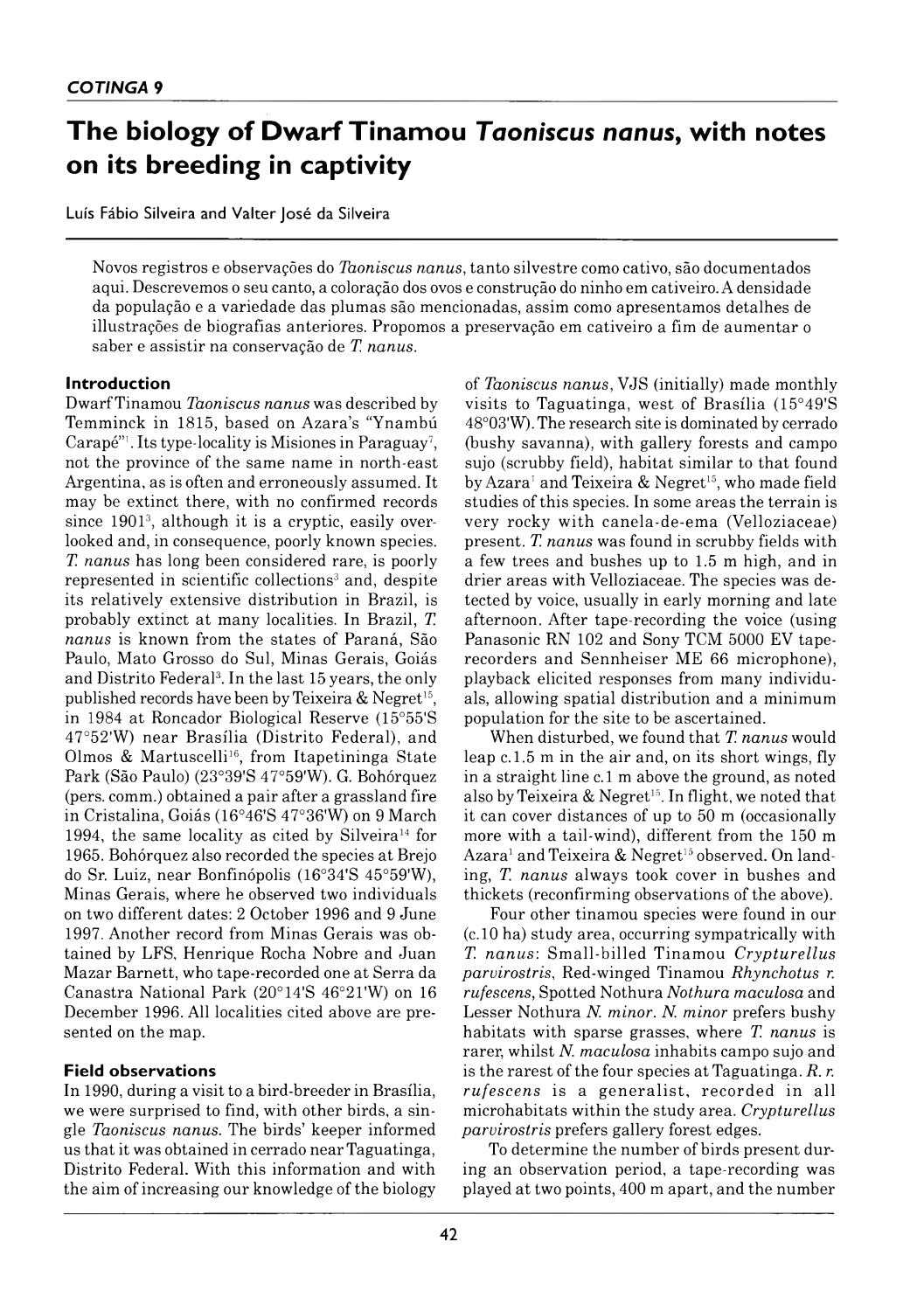# **The biology of Dwarf Tinamou** *Taoniscus nanus,* **with notes on its breeding in captivity**

Luís Fábio Silveira and Valter José da Silveira

Novos registros e observações do *Taoniscus nanus*, tanto silvestre como cativo, são documentados aqui. Descrevemos o seu canto, a coloração dos ovos e construção do ninho em cativeiro. A densidade da população e a variedade das plumas são mencionadas, assim como apresentamos detalhes de illustrações de biografias anteriores. Propomos a preservação em cativeiro a fim de aumentar o saber e assistir na conservação de *T. nanus.*

#### **Introduction**

Dwarf Tinamou *Taoniscus nanus* was described by Temminck in 1815, based on Azara's "Ynambú Carapé"<sup>1</sup>. Its type-locality is Misiones in Paraguay<sup>7</sup>, not the province of the same name in north-east Argentina, as is often and erroneously assumed. It may be extinct there, with no confirmed records since 19013, although it is a cryptic, easily overlooked and, in consequence, poorly known species. *T. nanus* has long been considered rare, is poorly represented in scientific collections<sup>3</sup> and, despite its relatively extensive distribution in Brazil, is probably extinct at many localities. In Brazil, *T. nanus* is known from the states of Paraná, São Paulo, Mato Grosso do Sul, Minas Gerais, Goiás and Distrito Federal<sup>3</sup>. In the last 15 years, the only published records have been by Teixeira  $&$  Negret<sup>15</sup>, in 1984 at Roncador Biological Reserve (15°55'S  $47°52'$ W) near Brasília (Distrito Federal), and Olmos & Martuscelli<sup>16</sup>, from Itapetininga State Park (São Paulo) (23°39'S 47°59'W). G. Bohórquez (pers. comm.) obtained a pair after a grassland fire in Cristalina, Goiás (16°46'S 47°36'W) on 9 March 1994, the same locality as cited by Silveira<sup>14</sup> for 1965. Bohórquez also recorded the species at Brejo do Sr. Luiz, near Bonfinópolis (16°34'S 45°59'W), Minas Gerais, where he observed two individuals on two different dates: 2 October 1996 and 9 June 1997. Another record from Minas Gerais was obtained by LFS, Henrique Rocha Nobre and Juan Mazar Barnett, who tape-recorded one at Serra da Canastra National Park  $(20^{\circ}14'S 46^{\circ}21'W)$  on 16 December 1996. All localities cited above are presented on the map.

# **Field observations**

In 1990, during a visit to a bird-breeder in Brasilia, we were surprised to find, with other birds, a single *Taoniscus nanus.* The birds' keeper informed us that it was obtained in cerrado near Taguatinga, Distrito Federal. With this information and with the aim of increasing our knowledge of the biology

of *Taoniscus nanus*, VJS (initially) made monthly visits to Taguatinga, west of Brasília  $(15°49'S$ 48°03'W). The research site is dominated by cerrado (bushy savanna), with gallery forests and campo sujo (scrubby field), habitat similar to that found by Azara<sup>1</sup> and Teixeira & Negret<sup>15</sup>, who made field studies of this species. In some areas the terrain is very rocky with canela-de-ema (Velloziaceae) present. *T. nanus* was found in scrubby fields with a few trees and bushes up to 1.5 m high, and in drier areas w ith Velloziaceae. The species was detected by voice, usually in early morning and late afternoon. After tape-recording the voice (using Panasonic RN 102 and Sony TCM 5000 EV taperecorders and Sennheiser ME 66 microphone), playback elicited responses from many individuals, allowing spatial distribution and a minimum population for the site to be ascertained.

When disturbed, we found that *T. nanus* would leap c. 1.5 m in the air and, on its short wings, fly in a straight line c. 1 m above the ground, as noted also by Teixeira & Negret<sup>15</sup>. In flight, we noted that it can cover distances of up to 50 m (occasionally more with a tail-wind), different from the 150 m Azara<sup>1</sup> and Teixeira & Negret<sup>15</sup> observed. On landing, *T. nanus* always took cover in bushes and thickets (reconfirming observations of the above).

Four other tinamou species were found in our  $(c.10$  ha) study area, occurring sympatrically with *T. n a n u s*: S m all-billed T inam ou *C rypturellus parvirostris*, Red-winged Tinam ou *Rhynchotus r. rufescens*, Spotted Nothura *Nothura maculosa* and Lesser Nothura *N. minor. N. minor* prefers bushy habitats with sparse grasses, where *T. nanus* is rarer, w hilst *N. maculosa* inhabits campo sujo and is the rarest of the four species at Taguatinga. R. r. *rufescens* is a generalist, recorded in all m icrohabitats w ithin the study area. *Crypturellus parvirostris* prefers gallery forest edges.

To determine the number of birds present during an observation period, a tape-recording was played at two points, 400 m apart, and the number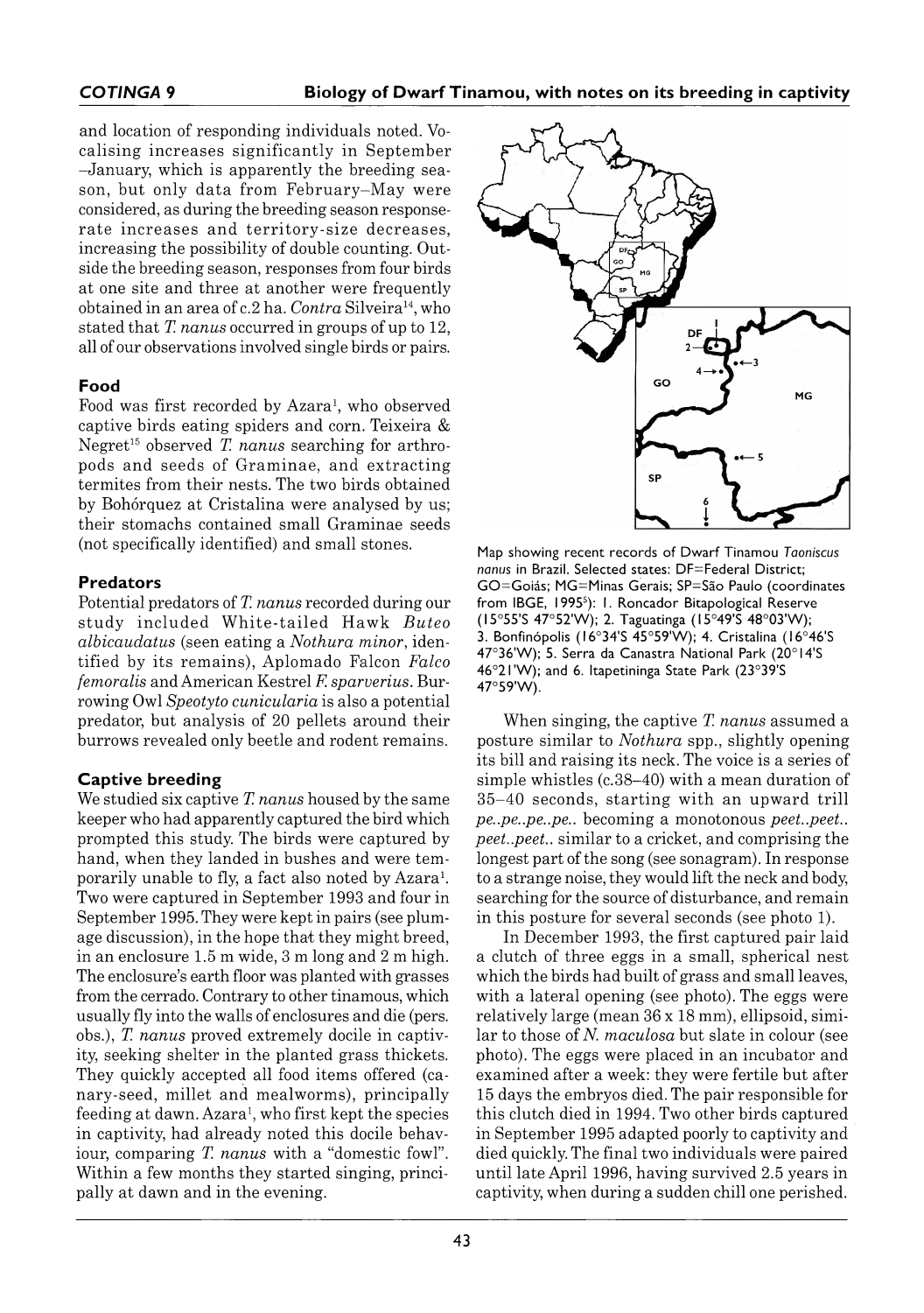and location of responding individuals noted. Vocalising increases significantly in September –January, which is apparently the breeding season, but only data from February-May were considered, as during the breeding season responserate increases and territory-size decreases. increasing the possibility of double counting. Outside the breeding season, responses from four birds at one site and three at another were frequently obtained in an area of c.2 ha. *Contra* Silveira<sup>14</sup>, who stated that *T. nanus* occurred in groups of up to 12, all of our observations involved single birds or pairs.

# **F ood**

Food was first recorded by Azara<sup>1</sup>, who observed captive birds eating spiders and corn. Teixeira & Negret<sup>15</sup> observed *T. nanus* searching for arthropods and seeds of Graminae, and extracting termites from their nests. The two birds obtained by Bohórquez at Cristalina were analysed by us; their stomachs contained small Graminae seeds (not specifically identified) and small stones.

#### **Predators**

Potential predators of *T. nanus* recorded during our study included White-tailed Hawk *Buteo albicaudatus* (seen eating a *Nothura minor*, identified by its rem ains), A plom ado Falcon *Falco femoralis* and American Kestrel *F. sparverius.* Burrowing Owl *Speotyto cunicularia* is also a potential predator, but analysis of 20 pellets around their burrows revealed only beetle and rodent remains.

# **Captive breeding**

We studied six captive *T. nanus* housed by the same keeper who had apparently captured the bird which prompted this study. The birds were captured by hand, when they landed in bushes and were tem porarily unable to fly, a fact also noted by Azara<sup>1</sup>. Two were captured in September 1993 and four in September 1995. They were kept in pairs (see plum age discussion), in the hope that they might breed, in an enclosure 1.5 m wide, 3 m long and 2 m high. The enclosure's earth floor was planted with grasses from the cerrado. Contrary to other tinamous, which usually fly into the walls of enclosures and die (pers. obs.), *T. nanus* proved extremely docile in captivity, seeking shelter in the planted grass thickets. They quickly accepted all food items offered (canary-seed, millet and mealworms), principally feeding at dawn. Azara<sup>1</sup>, who first kept the species in captivity, had already noted this docile behaviour, comparing *T. nanus* with a "domestic fowl". Within a few months they started singing, principally at dawn and in the evening.



Map showing recent records of Dwarf Tinamou *Taoniscus nanus* in Brazil. Selected states: DF = Federal District; GO = Goiás; MG = Minas Gerais; SP = São Paulo (coordinates from IBGE, 1995<sup>5</sup>): 1. Roncador Bitapological Reserve (15°55'S 47°52'W); 2. Taguatinga (15°49'S 48°03'W); 3. Bonfinópolis (16°34'S 45°59'W); 4. Cristalina (16°46'S 47°36'W); 5. Serra da Canastra National Park (20°14'S 46°21'W); and 6. Itapetininga State Park (23°39'S 47°59'W).

When singing, the captive *T. nanus* assumed a posture similar to *Nothura* spp., slightly opening its bill and raising its neck. The voice is a series of simple whistles  $(c.38-40)$  with a mean duration of  $35-40$  seconds, starting with an upward trill *pe..pe..pe..pe..* becoming a monotonous *peet..peet.. peet..peet..* similar to a cricket, and comprising the longest part of the song (see sonagram). In response to a strange noise, they would lift the neck and body, searching for the source of disturbance, and remain in this posture for several seconds (see photo 1).

In December 1993, the first captured pair laid a clutch of three eggs in a small, spherical nest which the birds had built of grass and small leaves, with a lateral opening (see photo). The eggs were relatively large (mean 36 × 18 mm), ellipsoid, sim ilar to those of *N. maculosa* but slate in colour (see photo). The eggs were placed in an incubator and exam ined after a week: they were fertile but after 15 days the embryos died. The pair responsible for this clutch died in 1994. Two other birds captured in September 1995 adapted poorly to captivity and died quickly. The final two individuals were paired until late April 1996, having survived 2.5 years in captivity, when during a sudden chill one perished.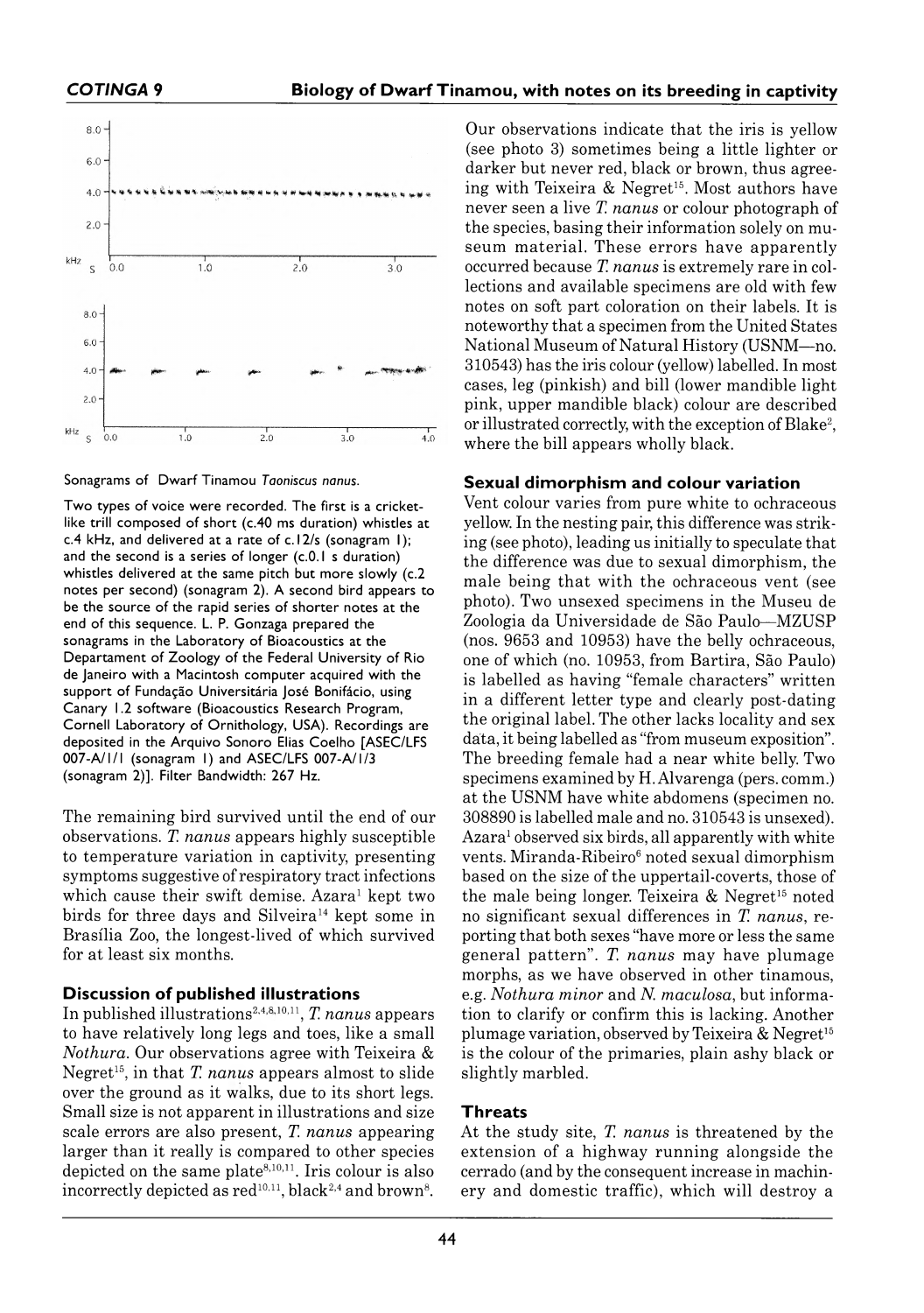

Sonagrams of Dwarf Tinamou Taoniscus nanus.

Two types of voice were recorded. The first is a cricketlike trill composed of short (c. 40 ms duration) whistles at c.4 kHz, and delivered at a rate of c.12/s (sonagram 1); and the second is a series of longer (c.0.1 s duration) whistles delivered at the same pitch but more slowly (c.2) notes per second) (sonagram 2). A second bird appears to be the source of the rapid series of shorter notes at the end of this sequence. L. P. Gonzaga prepared the sonagrams in the Laboratory of Bioacoustics at the Departament of Zoology of the Federal University of Rio de Janeiro with a Macintosh computer acquired with the support of Fundação Universitária José Bonifácio, using Canary 1.2 software (Bioacoustics Research Program, Cornell Laboratory of Ornithology, USA). Recordings are deposited in the Arquivo Sonoro Elias Coelho [ASEC/LFS 007-A/1/1 (sonagram 1) and ASEC/LFS 007-A/1/3 (sonagram 2)]. Filter Bandwidth: 267 Hz.

The remaining bird survived until the end of our observations. *T. nanus* appears highly susceptible to temperature variation in captivity, presenting symptoms suggestive of respiratory tract infections which cause their swift demise. Azara<sup>1</sup> kept two birds for three days and Silveira<sup>14</sup> kept some in Brasília Zoo, the longest-lived of which survived for at least six months.

#### **Discussion of published illustrations**

In published illustrations2,4,8,10,11, *T. nanus* appears to have relatively long legs and toes, like a small *Nothura*. Our observations agree with Teixeira & Negret<sup>15</sup>, in that *T. nanus* appears almost to slide over the ground as it walks, due to its short legs. Small size is not apparent in illustrations and size scale errors are also present, *T. nanus* appearing larger than it really is compared to other species depicted on the same plate<sup>8,10,11</sup>. Iris colour is also incorrectly depicted as  $red^{10,11}$ , black<sup>2,4</sup> and brown<sup>8</sup>.

Our observations indicate that the iris is yellow (see photo 3) sometimes being a little lighter or darker but never red, black or brown, thus agreeing with Teixeira & Negret<sup>15</sup>. Most authors have never seen a live *T. nanus* or colour photograph of the species, basing their information solely on museum material. These errors have apparently occurred because *T. nanus* is extremely rare in collections and available specimens are old with few notes on soft part coloration on their labels. It is noteworthy that a specimen from the United States National Museum of Natural History (USNM-no. 310543) has the iris colour (yellow) labelled. In most cases, leg (pinkish) and bill (lower mandible light pink, upper mandible black) colour are described or illustrated correctly, with the exception of Blake<sup>2</sup>, where the bill appears wholly black.

#### **Sexual dimorphism and colour variation**

Vent colour varies from pure white to ochraceous yellow. In the nesting pair, this difference was striking (see photo), leading us initially to speculate that the difference was due to sexual dimorphism, the male being that with the ochraceous vent (see photo). Two unsexed specimens in the Museu de Zoologia da Universidade de São Paulo-MZUSP (nos. 9653 and 10953) have the belly ochraceous, one of which (no. 10953, from Bartira, São Paulo) is labelled as having "female characters" written in a different letter type and clearly post-dating the original label. The other lacks locality and sex data, it being labelled as "from museum exposition". The breeding female had a near white belly. Two specimens examined by H. Alvarenga (pers. comm.) at the USNM have white abdomens (specimen no. 308890 is labelled male and no. 310543 is unsexed). Azara<sup>1</sup> observed six birds, all apparently with white vents. Miranda-Ribeiro<sup>6</sup> noted sexual dimorphism based on the size of the uppertail-coverts, those of the male being longer. Teixeira  $\&$  Negret<sup>15</sup> noted no significant sexual differences in *T. nanus,* re porting that both sexes "have more or less the same general pattern". *T. nanus* may have plumage morphs, as we have observed in other tinamous, e.g. *Nothura minor* and *N. maculosa,* but inform ation to clarify or confirm this is lacking. Another plumage variation, observed by Teixeira  $&$  Negret<sup>15</sup> is the colour of the primaries, plain ashy black or slightly marbled.

# **Threats**

At the study site, *T. nanus* is threatened by the extension of a highway running alongside the cerrado (and by the consequent increase in machinery and domestic traffic), which will destroy a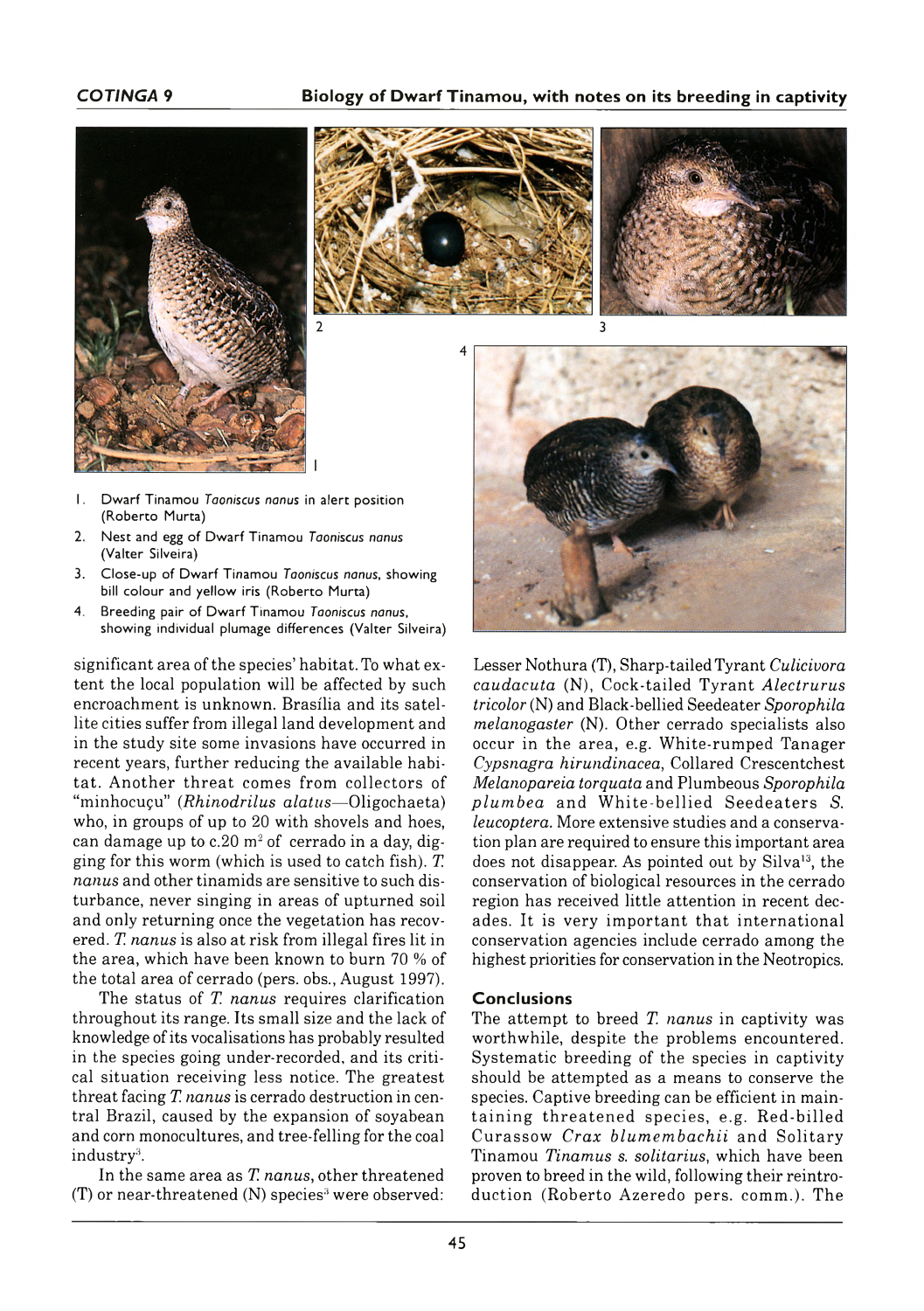#### **COTINGA** 9 **Biology of Dwarf Tinamou, with notes on its breeding in captivity**









- 1. Dwarf Tinamou *Taoniscus nanus* in alert position (Roberto Murta)
- 2. Nest and egg of Dwarf Tinamou *Taoniscus nanus* (Valter Silveira)
- 3. Close-up of Dwarf Tinamou *Taoniscus nanus*, showing bill colour and yellow iris (Roberto Murta)
- 4. Breeding pair of Dwarf Tinamou *Taoniscus nanus*, showing individual plumage differences (Valter Silveira)

significant area of the species' habitat. To what extent the local population will be affected by such encroachment is unknown. Brasília and its satellite cities suffer from illegal land development and in the study site some invasions have occurred in recent years, further reducing the available habitat. Another threat comes from collectors of "minhocuçu" (*Rhinodrilus alatus*—Oligochaeta) who, in groups of up to 20 with shovels and hoes, can damage up to c. 20  $m^2$  of cerrado in a day, digging for this worm (which is used to catch fish). *T. nanus* and other tinamids are sensitive to such disturbance, never singing in areas of upturned soil and only returning once the vegetation has recovered. *T. nanus* is also at risk from illegal fires lit in the area, which have been known to burn 70% of the total area of cerrado (pers. obs., August 1997).

The status of *T. nanus* requires clarification throughout its range. Its small size and the lack of knowledge of its vocalisations has probably resulted in the species going under-recorded, and its critical situation receiving less notice. The greatest threat facing *T. nanus* is cerrado destruction in central Brazil, caused by the expansion of soyabean and corn monocultures, and tree-felling for the coal industry<sup>3</sup>.

In the same area as *T. nanus,* other threatened  $(T)$  or near-threatened  $(N)$  species<sup>3</sup> were observed: Lesser Nothura (T), Sharp-tailed Tyrant *Culicivora caudacuta* (N), Cock-tailed Tyrant *Alectrurus tricolor* (N) and Black-bellied Seedeater *Sporophila melanogaster* (N). O ther cerrado specialists also occur in the area, e.g. White-rumped Tanager *Cypsnagra hirundinacea*, Collared Crescentchest *Melanopareia torquata* and Plumbeous *Sporophila plumbea* and White-bellied Seedeaters *S. leucoptera.* More extensive studies and a conservation plan are required to ensure this im portant area does not disappear. As pointed out by Silva<sup>13</sup>, the conservation of biological resources in the cerrado region has received little attention in recent decades. It is very important that international conservation agencies include cerrado among the highest priorities for conservation in the Neotropics.

#### **Conclusions**

The attempt to breed *T. nanus* in captivity was worthwhile, despite the problems encountered. System atic breeding of the species in captivity should be attempted as a means to conserve the species. Captive breeding can be efficient in maintaining threatened species, e.g. Red-billed Curassow *Crax blumembachii* and Solitary Tinam ou *Tinam us s. solitarius,* which have been proven to breed in the wild, following their réintroduction (Roberto Azeredo pers. comm.). The